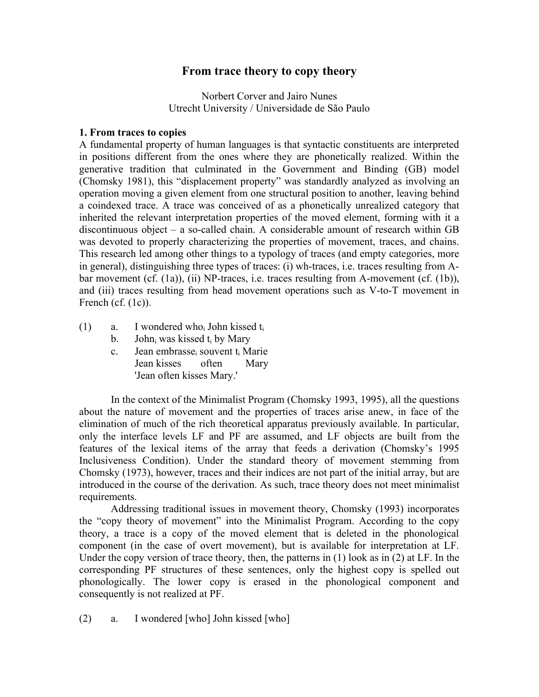# **From trace theory to copy theory**

Norbert Corver and Jairo Nunes Utrecht University / Universidade de São Paulo

# **1. From traces to copies**

A fundamental property of human languages is that syntactic constituents are interpreted in positions different from the ones where they are phonetically realized. Within the generative tradition that culminated in the Government and Binding (GB) model (Chomsky 1981), this "displacement property" was standardly analyzed as involving an operation moving a given element from one structural position to another, leaving behind a coindexed trace. A trace was conceived of as a phonetically unrealized category that inherited the relevant interpretation properties of the moved element, forming with it a discontinuous object – a so-called chain. A considerable amount of research within GB was devoted to properly characterizing the properties of movement, traces, and chains. This research led among other things to a typology of traces (and empty categories, more in general), distinguishing three types of traces: (i) wh-traces, i.e. traces resulting from Abar movement (cf. (1a)), (ii) NP-traces, i.e. traces resulting from A-movement (cf. (1b)), and (iii) traces resulting from head movement operations such as V-to-T movement in French (cf. (1c)).

- (1) a. I wondered who John kissed  $t_i$ 
	- b. John<sub>i</sub> was kissed  $t_i$  by Mary
	- c. Jean embrassei souvent ti Marie Jean kisses often Mary 'Jean often kisses Mary.'

In the context of the Minimalist Program (Chomsky 1993, 1995), all the questions about the nature of movement and the properties of traces arise anew, in face of the elimination of much of the rich theoretical apparatus previously available. In particular, only the interface levels LF and PF are assumed, and LF objects are built from the features of the lexical items of the array that feeds a derivation (Chomsky's 1995 Inclusiveness Condition). Under the standard theory of movement stemming from Chomsky (1973), however, traces and their indices are not part of the initial array, but are introduced in the course of the derivation. As such, trace theory does not meet minimalist requirements.

Addressing traditional issues in movement theory, Chomsky (1993) incorporates the "copy theory of movement" into the Minimalist Program. According to the copy theory, a trace is a copy of the moved element that is deleted in the phonological component (in the case of overt movement), but is available for interpretation at LF. Under the copy version of trace theory, then, the patterns in  $(1)$  look as in  $(2)$  at LF. In the corresponding PF structures of these sentences, only the highest copy is spelled out phonologically. The lower copy is erased in the phonological component and consequently is not realized at PF.

(2) a. I wondered [who] John kissed [who]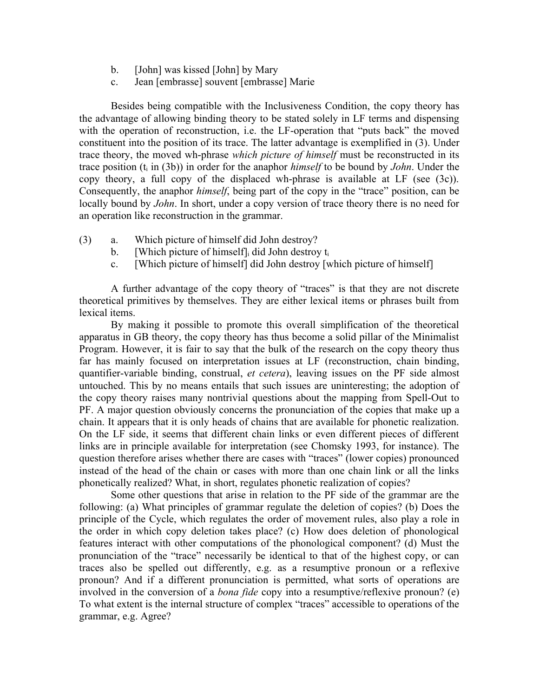- b. [John] was kissed [John] by Mary
- c. Jean [embrasse] souvent [embrasse] Marie

Besides being compatible with the Inclusiveness Condition, the copy theory has the advantage of allowing binding theory to be stated solely in LF terms and dispensing with the operation of reconstruction, i.e. the LF-operation that "puts back" the moved constituent into the position of its trace. The latter advantage is exemplified in (3). Under trace theory, the moved wh-phrase *which picture of himself* must be reconstructed in its trace position (t<sup>i</sup> in (3b)) in order for the anaphor *himself* to be bound by *John*. Under the copy theory, a full copy of the displaced wh-phrase is available at  $LF$  (see (3c)). Consequently, the anaphor *himself*, being part of the copy in the "trace" position, can be locally bound by *John*. In short, under a copy version of trace theory there is no need for an operation like reconstruction in the grammar.

- (3) a. Which picture of himself did John destroy?
	- b. [Which picture of himself] did John destroy  $t_i$
	- c. [Which picture of himself] did John destroy [which picture of himself]

A further advantage of the copy theory of "traces" is that they are not discrete theoretical primitives by themselves. They are either lexical items or phrases built from lexical items.

By making it possible to promote this overall simplification of the theoretical apparatus in GB theory, the copy theory has thus become a solid pillar of the Minimalist Program. However, it is fair to say that the bulk of the research on the copy theory thus far has mainly focused on interpretation issues at LF (reconstruction, chain binding, quantifier-variable binding, construal, *et cetera*), leaving issues on the PF side almost untouched. This by no means entails that such issues are uninteresting; the adoption of the copy theory raises many nontrivial questions about the mapping from Spell-Out to PF. A major question obviously concerns the pronunciation of the copies that make up a chain. It appears that it is only heads of chains that are available for phonetic realization. On the LF side, it seems that different chain links or even different pieces of different links are in principle available for interpretation (see Chomsky 1993, for instance). The question therefore arises whether there are cases with "traces" (lower copies) pronounced instead of the head of the chain or cases with more than one chain link or all the links phonetically realized? What, in short, regulates phonetic realization of copies?

Some other questions that arise in relation to the PF side of the grammar are the following: (a) What principles of grammar regulate the deletion of copies? (b) Does the principle of the Cycle, which regulates the order of movement rules, also play a role in the order in which copy deletion takes place? (c) How does deletion of phonological features interact with other computations of the phonological component? (d) Must the pronunciation of the "trace" necessarily be identical to that of the highest copy, or can traces also be spelled out differently, e.g. as a resumptive pronoun or a reflexive pronoun? And if a different pronunciation is permitted, what sorts of operations are involved in the conversion of a *bona fide* copy into a resumptive/reflexive pronoun? (e) To what extent is the internal structure of complex "traces" accessible to operations of the grammar, e.g. Agree?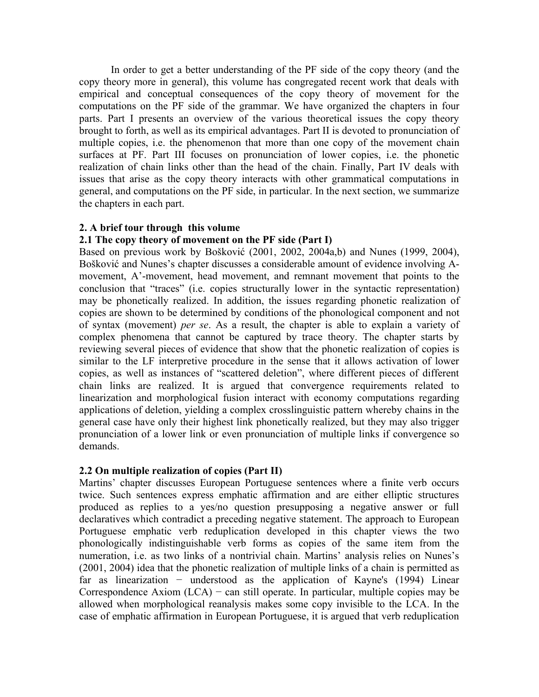In order to get a better understanding of the PF side of the copy theory (and the copy theory more in general), this volume has congregated recent work that deals with empirical and conceptual consequences of the copy theory of movement for the computations on the PF side of the grammar. We have organized the chapters in four parts. Part I presents an overview of the various theoretical issues the copy theory brought to forth, as well as its empirical advantages. Part II is devoted to pronunciation of multiple copies, i.e. the phenomenon that more than one copy of the movement chain surfaces at PF. Part III focuses on pronunciation of lower copies, i.e. the phonetic realization of chain links other than the head of the chain. Finally, Part IV deals with issues that arise as the copy theory interacts with other grammatical computations in general, and computations on the PF side, in particular. In the next section, we summarize the chapters in each part.

## **2. A brief tour through this volume**

### **2.1 The copy theory of movement on the PF side (Part I)**

Based on previous work by Bošković (2001, 2002, 2004a,b) and Nunes (1999, 2004), Bošković and Nunes's chapter discusses a considerable amount of evidence involving Amovement, A'-movement, head movement, and remnant movement that points to the conclusion that "traces" (i.e. copies structurally lower in the syntactic representation) may be phonetically realized. In addition, the issues regarding phonetic realization of copies are shown to be determined by conditions of the phonological component and not of syntax (movement) *per se*. As a result, the chapter is able to explain a variety of complex phenomena that cannot be captured by trace theory. The chapter starts by reviewing several pieces of evidence that show that the phonetic realization of copies is similar to the LF interpretive procedure in the sense that it allows activation of lower copies, as well as instances of "scattered deletion", where different pieces of different chain links are realized. It is argued that convergence requirements related to linearization and morphological fusion interact with economy computations regarding applications of deletion, yielding a complex crosslinguistic pattern whereby chains in the general case have only their highest link phonetically realized, but they may also trigger pronunciation of a lower link or even pronunciation of multiple links if convergence so demands.

# **2.2 On multiple realization of copies (Part II)**

Martins' chapter discusses European Portuguese sentences where a finite verb occurs twice. Such sentences express emphatic affirmation and are either elliptic structures produced as replies to a yes/no question presupposing a negative answer or full declaratives which contradict a preceding negative statement. The approach to European Portuguese emphatic verb reduplication developed in this chapter views the two phonologically indistinguishable verb forms as copies of the same item from the numeration, i.e. as two links of a nontrivial chain. Martins' analysis relies on Nunes's (2001, 2004) idea that the phonetic realization of multiple links of a chain is permitted as far as linearization − understood as the application of Kayne's (1994) Linear Correspondence Axiom  $(ICA)$  – can still operate. In particular, multiple copies may be allowed when morphological reanalysis makes some copy invisible to the LCA. In the case of emphatic affirmation in European Portuguese, it is argued that verb reduplication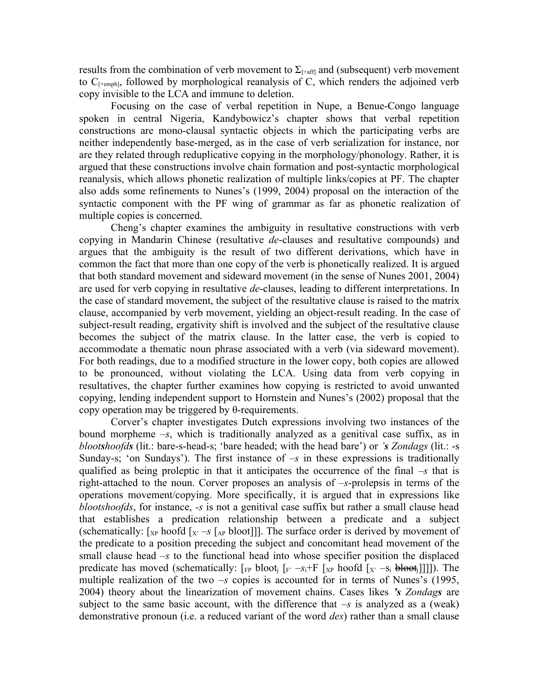results from the combination of verb movement to  $\Sigma_{[+aff]}$  and (subsequent) verb movement to  $C_{[+emb]}$ , followed by morphological reanalysis of C, which renders the adjoined verb copy invisible to the LCA and immune to deletion.

Focusing on the case of verbal repetition in Nupe, a Benue-Congo language spoken in central Nigeria, Kandybowicz's chapter shows that verbal repetition constructions are mono-clausal syntactic objects in which the participating verbs are neither independently base-merged, as in the case of verb serialization for instance, nor are they related through reduplicative copying in the morphology/phonology. Rather, it is argued that these constructions involve chain formation and post-syntactic morphological reanalysis, which allows phonetic realization of multiple links/copies at PF. The chapter also adds some refinements to Nunes's (1999, 2004) proposal on the interaction of the syntactic component with the PF wing of grammar as far as phonetic realization of multiple copies is concerned.

Cheng's chapter examines the ambiguity in resultative constructions with verb copying in Mandarin Chinese (resultative *de*-clauses and resultative compounds) and argues that the ambiguity is the result of two different derivations, which have in common the fact that more than one copy of the verb is phonetically realized. It is argued that both standard movement and sideward movement (in the sense of Nunes 2001, 2004) are used for verb copying in resultative *de*-clauses, leading to different interpretations. In the case of standard movement, the subject of the resultative clause is raised to the matrix clause, accompanied by verb movement, yielding an object-result reading. In the case of subject-result reading, ergativity shift is involved and the subject of the resultative clause becomes the subject of the matrix clause. In the latter case, the verb is copied to accommodate a thematic noun phrase associated with a verb (via sideward movement). For both readings, due to a modified structure in the lower copy, both copies are allowed to be pronounced, without violating the LCA. Using data from verb copying in resultatives, the chapter further examines how copying is restricted to avoid unwanted copying, lending independent support to Hornstein and Nunes's (2002) proposal that the copy operation may be triggered by θ-requirements.

Corver's chapter investigates Dutch expressions involving two instances of the bound morpheme *–s*, which is traditionally analyzed as a genitival case suffix, as in *blootshoofds* (lit.: bare-s-head-s; 'bare headed; with the head bare') or *'s Zondags* (lit.: -s Sunday-s; 'on Sundays'). The first instance of  $-s$  in these expressions is traditionally qualified as being proleptic in that it anticipates the occurrence of the final *–s* that is right-attached to the noun. Corver proposes an analysis of *–s*-prolepsis in terms of the operations movement/copying. More specifically, it is argued that in expressions like *blootshoofds*, for instance, *-s* is not a genitival case suffix but rather a small clause head that establishes a predication relationship between a predicate and a subject (schematically:  $\lceil x \rceil$  hoofd  $\lceil x \rceil$  *–s*  $\lceil x \rceil$  bloot]]. The surface order is derived by movement of the predicate to a position preceding the subject and concomitant head movement of the small clause head *–s* to the functional head into whose specifier position the displaced predicate has moved (schematically:  $\lceil_{FP} \text{block}_i \rceil_r - s_i + F \rceil$   $\lceil_{XP} \text{hook} \rceil$  hoofd  $\lceil_{X'} \rceil - s_i$  bloot<sub>i</sub>]]]]). The multiple realization of the two *–s* copies is accounted for in terms of Nunes's (1995, 2004) theory about the linearization of movement chains. Cases likes *'s Zondags* are subject to the same basic account, with the difference that *–s* is analyzed as a (weak) demonstrative pronoun (i.e. a reduced variant of the word *des*) rather than a small clause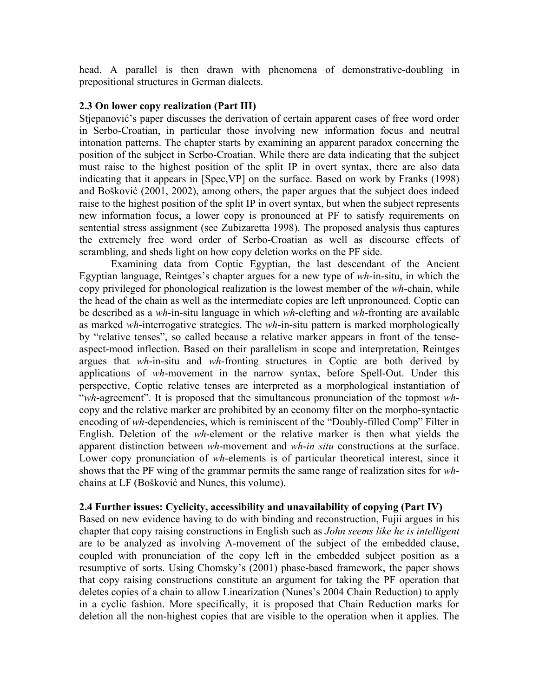head. A parallel is then drawn with phenomena of demonstrative-doubling in prepositional structures in German dialects.

## **2.3 On lower copy realization (Part III)**

Stjepanović's paper discusses the derivation of certain apparent cases of free word order in Serbo-Croatian, in particular those involving new information focus and neutral intonation patterns. The chapter starts by examining an apparent paradox concerning the position of the subject in Serbo-Croatian. While there are data indicating that the subject must raise to the highest position of the split IP in overt syntax, there are also data indicating that it appears in [Spec,VP] on the surface. Based on work by Franks (1998) and Bošković (2001, 2002), among others, the paper argues that the subject does indeed raise to the highest position of the split IP in overt syntax, but when the subject represents new information focus, a lower copy is pronounced at PF to satisfy requirements on sentential stress assignment (see Zubizaretta 1998). The proposed analysis thus captures the extremely free word order of Serbo-Croatian as well as discourse effects of scrambling, and sheds light on how copy deletion works on the PF side.

Examining data from Coptic Egyptian, the last descendant of the Ancient Egyptian language, Reintges's chapter argues for a new type of *wh*-in-situ, in which the copy privileged for phonological realization is the lowest member of the *wh*-chain, while the head of the chain as well as the intermediate copies are left unpronounced. Coptic can be described as a *wh*-in-situ language in which *wh*-clefting and *wh*-fronting are available as marked *wh*-interrogative strategies. The *wh*-in-situ pattern is marked morphologically by "relative tenses", so called because a relative marker appears in front of the tenseaspect-mood inflection. Based on their parallelism in scope and interpretation, Reintges argues that *wh*-in-situ and *wh*-fronting structures in Coptic are both derived by applications of *wh*-movement in the narrow syntax, before Spell-Out. Under this perspective, Coptic relative tenses are interpreted as a morphological instantiation of "*wh*-agreement". It is proposed that the simultaneous pronunciation of the topmost *wh*copy and the relative marker are prohibited by an economy filter on the morpho-syntactic encoding of *wh*-dependencies, which is reminiscent of the "Doubly-filled Comp" Filter in English. Deletion of the *wh*-element or the relative marker is then what yields the apparent distinction between *wh*-movement and *wh*-*in situ* constructions at the surface. Lower copy pronunciation of *wh*-elements is of particular theoretical interest, since it shows that the PF wing of the grammar permits the same range of realization sites for *wh*chains at LF (Bošković and Nunes, this volume).

## **2.4 Further issues: Cyclicity, accessibility and unavailability of copying (Part IV)**

Based on new evidence having to do with binding and reconstruction, Fujii argues in his chapter that copy raising constructions in English such as *John seems like he is intelligent* are to be analyzed as involving A-movement of the subject of the embedded clause, coupled with pronunciation of the copy left in the embedded subject position as a resumptive of sorts. Using Chomsky's (2001) phase-based framework, the paper shows that copy raising constructions constitute an argument for taking the PF operation that deletes copies of a chain to allow Linearization (Nunes's 2004 Chain Reduction) to apply in a cyclic fashion. More specifically, it is proposed that Chain Reduction marks for deletion all the non-highest copies that are visible to the operation when it applies. The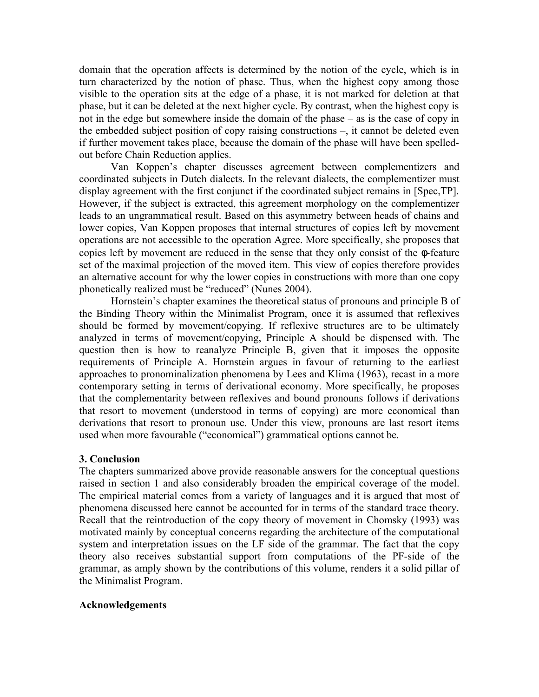domain that the operation affects is determined by the notion of the cycle, which is in turn characterized by the notion of phase. Thus, when the highest copy among those visible to the operation sits at the edge of a phase, it is not marked for deletion at that phase, but it can be deleted at the next higher cycle. By contrast, when the highest copy is not in the edge but somewhere inside the domain of the phase – as is the case of copy in the embedded subject position of copy raising constructions –, it cannot be deleted even if further movement takes place, because the domain of the phase will have been spelledout before Chain Reduction applies.

Van Koppen's chapter discusses agreement between complementizers and coordinated subjects in Dutch dialects. In the relevant dialects, the complementizer must display agreement with the first conjunct if the coordinated subject remains in [Spec,TP]. However, if the subject is extracted, this agreement morphology on the complementizer leads to an ungrammatical result. Based on this asymmetry between heads of chains and lower copies, Van Koppen proposes that internal structures of copies left by movement operations are not accessible to the operation Agree. More specifically, she proposes that copies left by movement are reduced in the sense that they only consist of the φ-feature set of the maximal projection of the moved item. This view of copies therefore provides an alternative account for why the lower copies in constructions with more than one copy phonetically realized must be "reduced" (Nunes 2004).

Hornstein's chapter examines the theoretical status of pronouns and principle B of the Binding Theory within the Minimalist Program, once it is assumed that reflexives should be formed by movement/copying. If reflexive structures are to be ultimately analyzed in terms of movement/copying, Principle A should be dispensed with. The question then is how to reanalyze Principle B, given that it imposes the opposite requirements of Principle A. Hornstein argues in favour of returning to the earliest approaches to pronominalization phenomena by Lees and Klima (1963), recast in a more contemporary setting in terms of derivational economy. More specifically, he proposes that the complementarity between reflexives and bound pronouns follows if derivations that resort to movement (understood in terms of copying) are more economical than derivations that resort to pronoun use. Under this view, pronouns are last resort items used when more favourable ("economical") grammatical options cannot be.

### **3. Conclusion**

The chapters summarized above provide reasonable answers for the conceptual questions raised in section 1 and also considerably broaden the empirical coverage of the model. The empirical material comes from a variety of languages and it is argued that most of phenomena discussed here cannot be accounted for in terms of the standard trace theory. Recall that the reintroduction of the copy theory of movement in Chomsky (1993) was motivated mainly by conceptual concerns regarding the architecture of the computational system and interpretation issues on the LF side of the grammar. The fact that the copy theory also receives substantial support from computations of the PF-side of the grammar, as amply shown by the contributions of this volume, renders it a solid pillar of the Minimalist Program.

### **Acknowledgements**